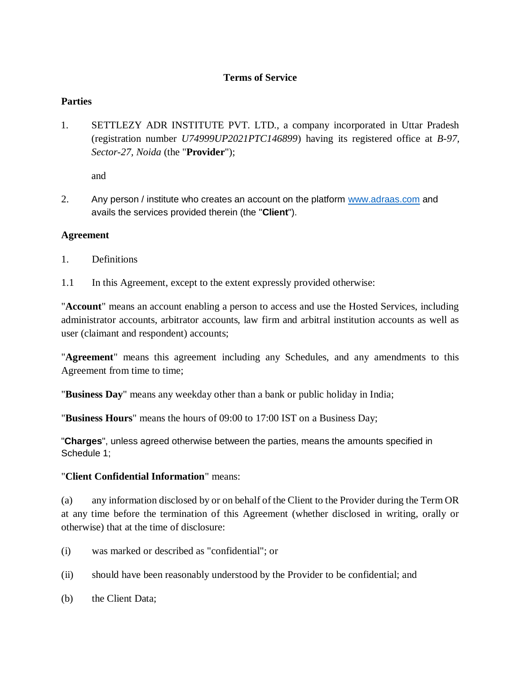#### **Terms of Service**

#### **Parties**

1. SETTLEZY ADR INSTITUTE PVT. LTD., a company incorporated in Uttar Pradesh (registration number *U74999UP2021PTC146899*) having its registered office at *B-97, Sector-27, Noida* (the "**Provider**");

and

2. Any person / institute who creates an account on the platform [www.adraas.com](http://www.adraas.com/) and avails the services provided therein (the "**Client**").

### **Agreement**

- 1. Definitions
- 1.1 In this Agreement, except to the extent expressly provided otherwise:

"**Account**" means an account enabling a person to access and use the Hosted Services, including administrator accounts, arbitrator accounts, law firm and arbitral institution accounts as well as user (claimant and respondent) accounts;

"**Agreement**" means this agreement including any Schedules, and any amendments to this Agreement from time to time;

"**Business Day**" means any weekday other than a bank or public holiday in India;

"**Business Hours**" means the hours of 09:00 to 17:00 IST on a Business Day;

"**Charges**", unless agreed otherwise between the parties, means the amounts specified in Schedule 1;

# "**Client Confidential Information**" means:

(a) any information disclosed by or on behalf of the Client to the Provider during the Term OR at any time before the termination of this Agreement (whether disclosed in writing, orally or otherwise) that at the time of disclosure:

- (i) was marked or described as "confidential"; or
- (ii) should have been reasonably understood by the Provider to be confidential; and
- (b) the Client Data;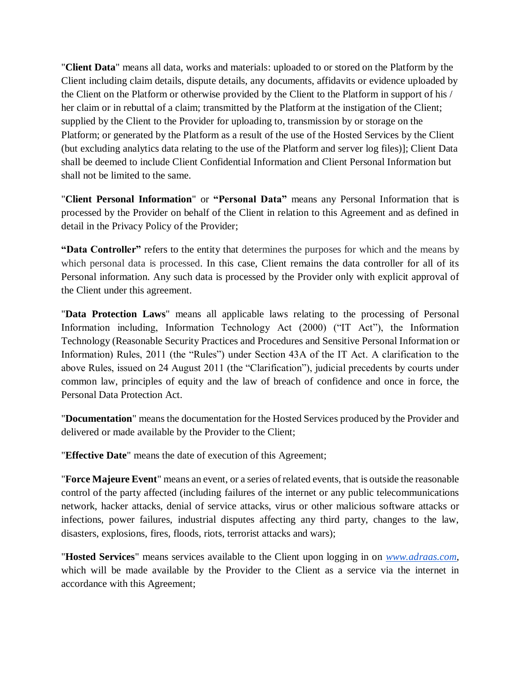"**Client Data**" means all data, works and materials: uploaded to or stored on the Platform by the Client including claim details, dispute details, any documents, affidavits or evidence uploaded by the Client on the Platform or otherwise provided by the Client to the Platform in support of his / her claim or in rebuttal of a claim; transmitted by the Platform at the instigation of the Client; supplied by the Client to the Provider for uploading to, transmission by or storage on the Platform; or generated by the Platform as a result of the use of the Hosted Services by the Client (but excluding analytics data relating to the use of the Platform and server log files)]; Client Data shall be deemed to include Client Confidential Information and Client Personal Information but shall not be limited to the same.

"**Client Personal Information**" or **"Personal Data"** means any Personal Information that is processed by the Provider on behalf of the Client in relation to this Agreement and as defined in detail in the Privacy Policy of the Provider;

**"Data Controller"** refers to the entity that determines the purposes for which and the means by which personal data is processed. In this case, Client remains the data controller for all of its Personal information. Any such data is processed by the Provider only with explicit approval of the Client under this agreement.

"**Data Protection Laws**" means all applicable laws relating to the processing of Personal Information including, Information Technology Act (2000) ("IT Act"), the Information Technology (Reasonable Security Practices and Procedures and Sensitive Personal Information or Information) Rules, 2011 (the "Rules") under Section 43A of the IT Act. A clarification to the above Rules, issued on 24 August 2011 (the "Clarification"), judicial precedents by courts under common law, principles of equity and the law of breach of confidence and once in force, the Personal Data Protection Act.

"**Documentation**" means the documentation for the Hosted Services produced by the Provider and delivered or made available by the Provider to the Client;

"**Effective Date**" means the date of execution of this Agreement;

"**Force Majeure Event**" means an event, or a series of related events, that is outside the reasonable control of the party affected (including failures of the internet or any public telecommunications network, hacker attacks, denial of service attacks, virus or other malicious software attacks or infections, power failures, industrial disputes affecting any third party, changes to the law, disasters, explosions, fires, floods, riots, terrorist attacks and wars);

"**Hosted Services**" means services available to the Client upon logging in on *[www.adraas.com](http://www.adraas.com/)*, which will be made available by the Provider to the Client as a service via the internet in accordance with this Agreement;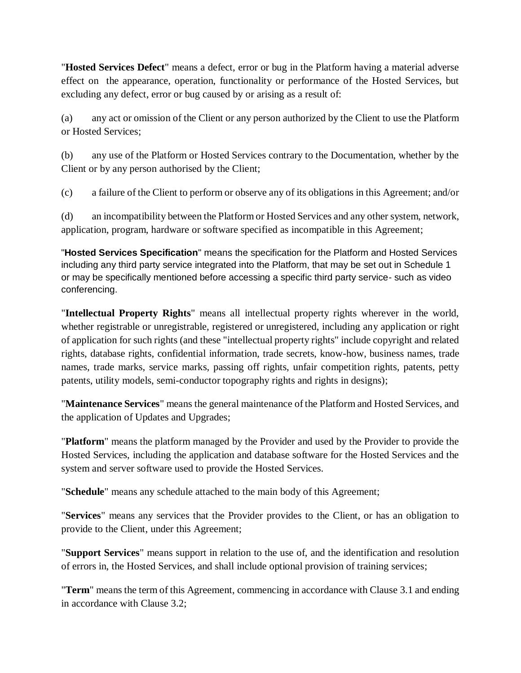"**Hosted Services Defect**" means a defect, error or bug in the Platform having a material adverse effect on the appearance, operation, functionality or performance of the Hosted Services, but excluding any defect, error or bug caused by or arising as a result of:

(a) any act or omission of the Client or any person authorized by the Client to use the Platform or Hosted Services;

(b) any use of the Platform or Hosted Services contrary to the Documentation, whether by the Client or by any person authorised by the Client;

(c) a failure of the Client to perform or observe any of its obligations in this Agreement; and/or

(d) an incompatibility between the Platform or Hosted Services and any other system, network, application, program, hardware or software specified as incompatible in this Agreement;

"**Hosted Services Specification**" means the specification for the Platform and Hosted Services including any third party service integrated into the Platform, that may be set out in Schedule 1 or may be specifically mentioned before accessing a specific third party service- such as video conferencing.

"**Intellectual Property Rights**" means all intellectual property rights wherever in the world, whether registrable or unregistrable, registered or unregistered, including any application or right of application for such rights (and these "intellectual property rights" include copyright and related rights, database rights, confidential information, trade secrets, know-how, business names, trade names, trade marks, service marks, passing off rights, unfair competition rights, patents, petty patents, utility models, semi-conductor topography rights and rights in designs);

"**Maintenance Services**" means the general maintenance of the Platform and Hosted Services, and the application of Updates and Upgrades;

"**Platform**" means the platform managed by the Provider and used by the Provider to provide the Hosted Services, including the application and database software for the Hosted Services and the system and server software used to provide the Hosted Services.

"**Schedule**" means any schedule attached to the main body of this Agreement;

"**Services**" means any services that the Provider provides to the Client, or has an obligation to provide to the Client, under this Agreement;

"**Support Services**" means support in relation to the use of, and the identification and resolution of errors in, the Hosted Services, and shall include optional provision of training services;

"**Term**" means the term of this Agreement, commencing in accordance with Clause 3.1 and ending in accordance with Clause 3.2;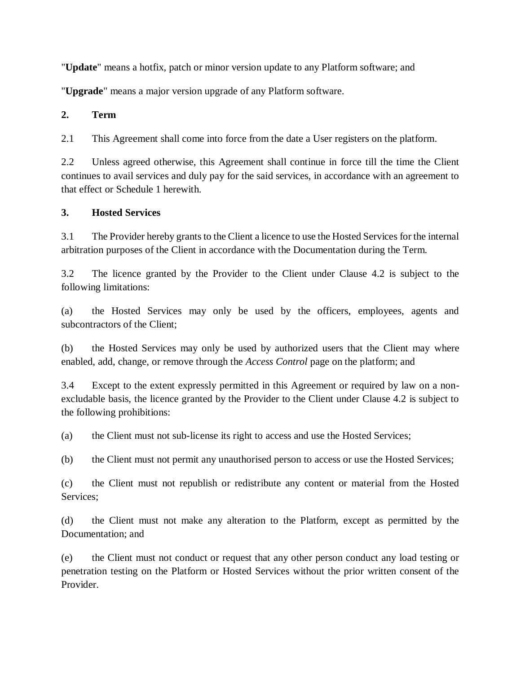"**Update**" means a hotfix, patch or minor version update to any Platform software; and

"**Upgrade**" means a major version upgrade of any Platform software.

### **2. Term**

2.1 This Agreement shall come into force from the date a User registers on the platform.

2.2 Unless agreed otherwise, this Agreement shall continue in force till the time the Client continues to avail services and duly pay for the said services, in accordance with an agreement to that effect or Schedule 1 herewith.

### **3. Hosted Services**

3.1 The Provider hereby grants to the Client a licence to use the Hosted Services for the internal arbitration purposes of the Client in accordance with the Documentation during the Term.

3.2 The licence granted by the Provider to the Client under Clause 4.2 is subject to the following limitations:

(a) the Hosted Services may only be used by the officers, employees, agents and subcontractors of the Client;

(b) the Hosted Services may only be used by authorized users that the Client may where enabled, add, change, or remove through the *Access Control* page on the platform; and

3.4 Except to the extent expressly permitted in this Agreement or required by law on a nonexcludable basis, the licence granted by the Provider to the Client under Clause 4.2 is subject to the following prohibitions:

(a) the Client must not sub-license its right to access and use the Hosted Services;

(b) the Client must not permit any unauthorised person to access or use the Hosted Services;

(c) the Client must not republish or redistribute any content or material from the Hosted Services;

(d) the Client must not make any alteration to the Platform, except as permitted by the Documentation; and

(e) the Client must not conduct or request that any other person conduct any load testing or penetration testing on the Platform or Hosted Services without the prior written consent of the Provider.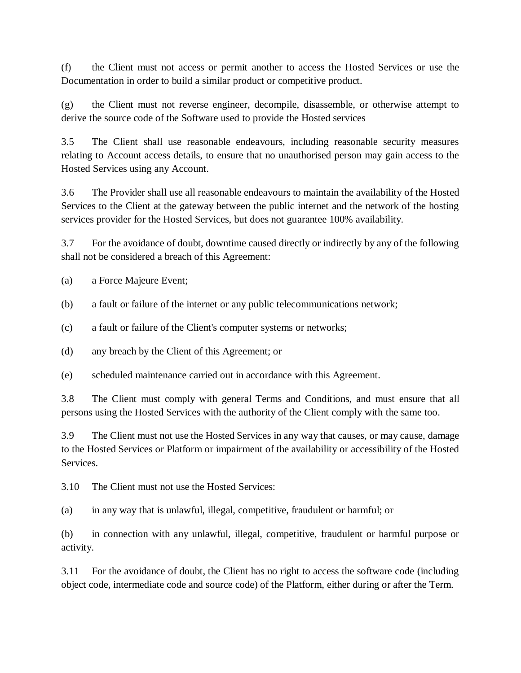(f) the Client must not access or permit another to access the Hosted Services or use the Documentation in order to build a similar product or competitive product.

(g) the Client must not reverse engineer, decompile, disassemble, or otherwise attempt to derive the source code of the Software used to provide the Hosted services

3.5 The Client shall use reasonable endeavours, including reasonable security measures relating to Account access details, to ensure that no unauthorised person may gain access to the Hosted Services using any Account.

3.6 The Provider shall use all reasonable endeavours to maintain the availability of the Hosted Services to the Client at the gateway between the public internet and the network of the hosting services provider for the Hosted Services, but does not guarantee 100% availability.

3.7 For the avoidance of doubt, downtime caused directly or indirectly by any of the following shall not be considered a breach of this Agreement:

(a) a Force Majeure Event;

- (b) a fault or failure of the internet or any public telecommunications network;
- (c) a fault or failure of the Client's computer systems or networks;
- (d) any breach by the Client of this Agreement; or

(e) scheduled maintenance carried out in accordance with this Agreement.

3.8 The Client must comply with general Terms and Conditions, and must ensure that all persons using the Hosted Services with the authority of the Client comply with the same too.

3.9 The Client must not use the Hosted Services in any way that causes, or may cause, damage to the Hosted Services or Platform or impairment of the availability or accessibility of the Hosted Services.

3.10 The Client must not use the Hosted Services:

(a) in any way that is unlawful, illegal, competitive, fraudulent or harmful; or

(b) in connection with any unlawful, illegal, competitive, fraudulent or harmful purpose or activity.

3.11 For the avoidance of doubt, the Client has no right to access the software code (including object code, intermediate code and source code) of the Platform, either during or after the Term.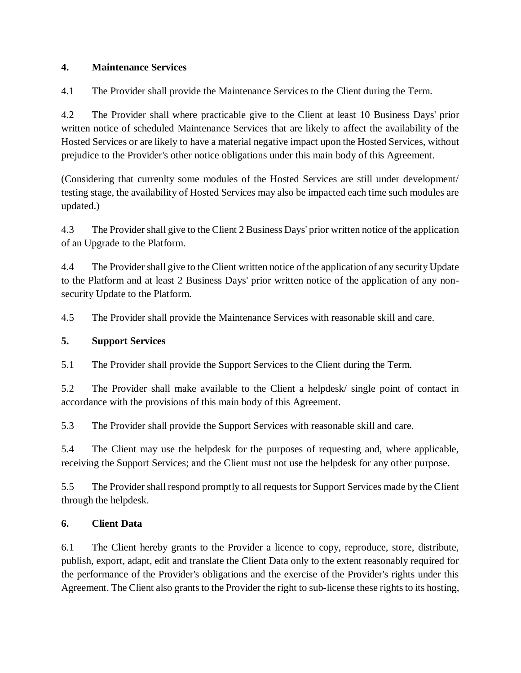### **4. Maintenance Services**

4.1 The Provider shall provide the Maintenance Services to the Client during the Term.

4.2 The Provider shall where practicable give to the Client at least 10 Business Days' prior written notice of scheduled Maintenance Services that are likely to affect the availability of the Hosted Services or are likely to have a material negative impact upon the Hosted Services, without prejudice to the Provider's other notice obligations under this main body of this Agreement.

(Considering that currenlty some modules of the Hosted Services are still under development/ testing stage, the availability of Hosted Services may also be impacted each time such modules are updated.)

4.3 The Provider shall give to the Client 2 Business Days' prior written notice of the application of an Upgrade to the Platform.

4.4 The Provider shall give to the Client written notice of the application of any security Update to the Platform and at least 2 Business Days' prior written notice of the application of any nonsecurity Update to the Platform.

4.5 The Provider shall provide the Maintenance Services with reasonable skill and care.

# **5. Support Services**

5.1 The Provider shall provide the Support Services to the Client during the Term.

5.2 The Provider shall make available to the Client a helpdesk/ single point of contact in accordance with the provisions of this main body of this Agreement.

5.3 The Provider shall provide the Support Services with reasonable skill and care.

5.4 The Client may use the helpdesk for the purposes of requesting and, where applicable, receiving the Support Services; and the Client must not use the helpdesk for any other purpose.

5.5 The Provider shall respond promptly to all requests for Support Services made by the Client through the helpdesk.

# **6. Client Data**

6.1 The Client hereby grants to the Provider a licence to copy, reproduce, store, distribute, publish, export, adapt, edit and translate the Client Data only to the extent reasonably required for the performance of the Provider's obligations and the exercise of the Provider's rights under this Agreement. The Client also grants to the Provider the right to sub-license these rights to its hosting,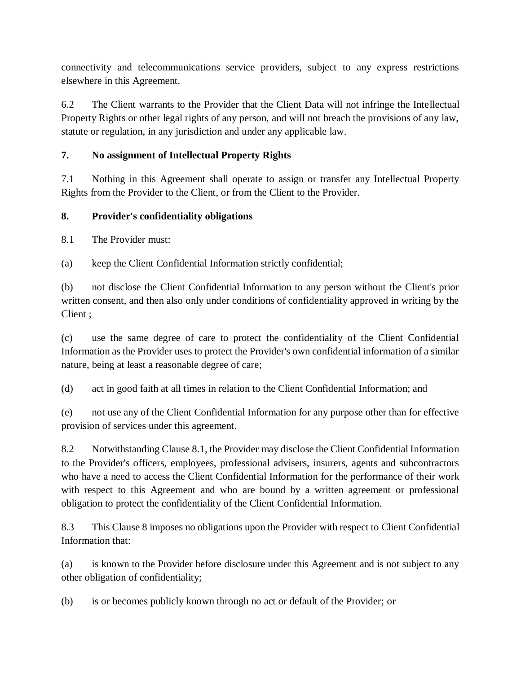connectivity and telecommunications service providers, subject to any express restrictions elsewhere in this Agreement.

6.2 The Client warrants to the Provider that the Client Data will not infringe the Intellectual Property Rights or other legal rights of any person, and will not breach the provisions of any law, statute or regulation, in any jurisdiction and under any applicable law.

# **7. No assignment of Intellectual Property Rights**

7.1 Nothing in this Agreement shall operate to assign or transfer any Intellectual Property Rights from the Provider to the Client, or from the Client to the Provider.

### **8. Provider's confidentiality obligations**

8.1 The Provider must:

(a) keep the Client Confidential Information strictly confidential;

(b) not disclose the Client Confidential Information to any person without the Client's prior written consent, and then also only under conditions of confidentiality approved in writing by the Client ;

(c) use the same degree of care to protect the confidentiality of the Client Confidential Information as the Provider uses to protect the Provider's own confidential information of a similar nature, being at least a reasonable degree of care;

(d) act in good faith at all times in relation to the Client Confidential Information; and

(e) not use any of the Client Confidential Information for any purpose other than for effective provision of services under this agreement.

8.2 Notwithstanding Clause 8.1, the Provider may disclose the Client Confidential Information to the Provider's officers, employees, professional advisers, insurers, agents and subcontractors who have a need to access the Client Confidential Information for the performance of their work with respect to this Agreement and who are bound by a written agreement or professional obligation to protect the confidentiality of the Client Confidential Information.

8.3 This Clause 8 imposes no obligations upon the Provider with respect to Client Confidential Information that:

(a) is known to the Provider before disclosure under this Agreement and is not subject to any other obligation of confidentiality;

(b) is or becomes publicly known through no act or default of the Provider; or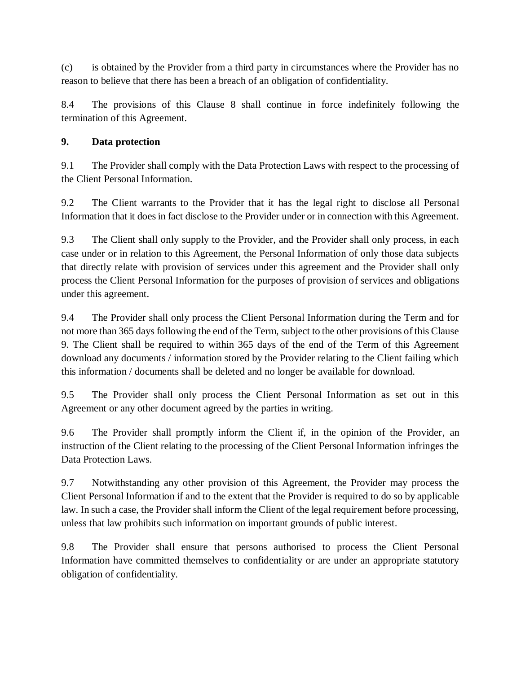(c) is obtained by the Provider from a third party in circumstances where the Provider has no reason to believe that there has been a breach of an obligation of confidentiality.

8.4 The provisions of this Clause 8 shall continue in force indefinitely following the termination of this Agreement.

### **9. Data protection**

9.1 The Provider shall comply with the Data Protection Laws with respect to the processing of the Client Personal Information.

9.2 The Client warrants to the Provider that it has the legal right to disclose all Personal Information that it does in fact disclose to the Provider under or in connection with this Agreement.

9.3 The Client shall only supply to the Provider, and the Provider shall only process, in each case under or in relation to this Agreement, the Personal Information of only those data subjects that directly relate with provision of services under this agreement and the Provider shall only process the Client Personal Information for the purposes of provision of services and obligations under this agreement.

9.4 The Provider shall only process the Client Personal Information during the Term and for not more than 365 days following the end of the Term, subject to the other provisions of this Clause 9. The Client shall be required to within 365 days of the end of the Term of this Agreement download any documents / information stored by the Provider relating to the Client failing which this information / documents shall be deleted and no longer be available for download.

9.5 The Provider shall only process the Client Personal Information as set out in this Agreement or any other document agreed by the parties in writing.

9.6 The Provider shall promptly inform the Client if, in the opinion of the Provider, an instruction of the Client relating to the processing of the Client Personal Information infringes the Data Protection Laws.

9.7 Notwithstanding any other provision of this Agreement, the Provider may process the Client Personal Information if and to the extent that the Provider is required to do so by applicable law. In such a case, the Provider shall inform the Client of the legal requirement before processing, unless that law prohibits such information on important grounds of public interest.

9.8 The Provider shall ensure that persons authorised to process the Client Personal Information have committed themselves to confidentiality or are under an appropriate statutory obligation of confidentiality.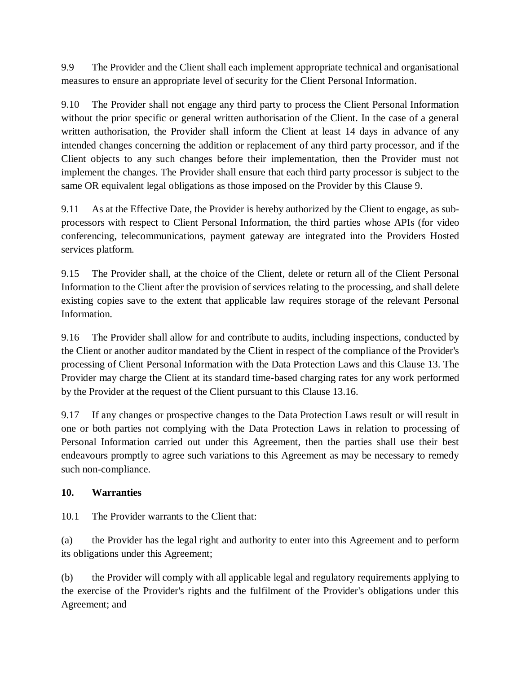9.9 The Provider and the Client shall each implement appropriate technical and organisational measures to ensure an appropriate level of security for the Client Personal Information.

9.10 The Provider shall not engage any third party to process the Client Personal Information without the prior specific or general written authorisation of the Client. In the case of a general written authorisation, the Provider shall inform the Client at least 14 days in advance of any intended changes concerning the addition or replacement of any third party processor, and if the Client objects to any such changes before their implementation, then the Provider must not implement the changes. The Provider shall ensure that each third party processor is subject to the same OR equivalent legal obligations as those imposed on the Provider by this Clause 9.

9.11 As at the Effective Date, the Provider is hereby authorized by the Client to engage, as subprocessors with respect to Client Personal Information, the third parties whose APIs (for video conferencing, telecommunications, payment gateway are integrated into the Providers Hosted services platform.

9.15 The Provider shall, at the choice of the Client, delete or return all of the Client Personal Information to the Client after the provision of services relating to the processing, and shall delete existing copies save to the extent that applicable law requires storage of the relevant Personal Information.

9.16 The Provider shall allow for and contribute to audits, including inspections, conducted by the Client or another auditor mandated by the Client in respect of the compliance of the Provider's processing of Client Personal Information with the Data Protection Laws and this Clause 13. The Provider may charge the Client at its standard time-based charging rates for any work performed by the Provider at the request of the Client pursuant to this Clause 13.16.

9.17 If any changes or prospective changes to the Data Protection Laws result or will result in one or both parties not complying with the Data Protection Laws in relation to processing of Personal Information carried out under this Agreement, then the parties shall use their best endeavours promptly to agree such variations to this Agreement as may be necessary to remedy such non-compliance.

# **10. Warranties**

10.1 The Provider warrants to the Client that:

(a) the Provider has the legal right and authority to enter into this Agreement and to perform its obligations under this Agreement;

(b) the Provider will comply with all applicable legal and regulatory requirements applying to the exercise of the Provider's rights and the fulfilment of the Provider's obligations under this Agreement; and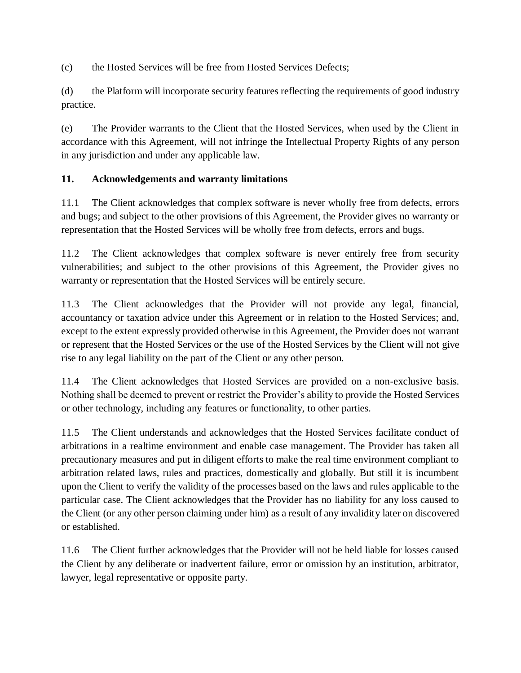(c) the Hosted Services will be free from Hosted Services Defects;

(d) the Platform will incorporate security features reflecting the requirements of good industry practice.

(e) The Provider warrants to the Client that the Hosted Services, when used by the Client in accordance with this Agreement, will not infringe the Intellectual Property Rights of any person in any jurisdiction and under any applicable law.

### **11. Acknowledgements and warranty limitations**

11.1 The Client acknowledges that complex software is never wholly free from defects, errors and bugs; and subject to the other provisions of this Agreement, the Provider gives no warranty or representation that the Hosted Services will be wholly free from defects, errors and bugs.

11.2 The Client acknowledges that complex software is never entirely free from security vulnerabilities; and subject to the other provisions of this Agreement, the Provider gives no warranty or representation that the Hosted Services will be entirely secure.

11.3 The Client acknowledges that the Provider will not provide any legal, financial, accountancy or taxation advice under this Agreement or in relation to the Hosted Services; and, except to the extent expressly provided otherwise in this Agreement, the Provider does not warrant or represent that the Hosted Services or the use of the Hosted Services by the Client will not give rise to any legal liability on the part of the Client or any other person.

11.4 The Client acknowledges that Hosted Services are provided on a non-exclusive basis. Nothing shall be deemed to prevent or restrict the Provider's ability to provide the Hosted Services or other technology, including any features or functionality, to other parties.

11.5 The Client understands and acknowledges that the Hosted Services facilitate conduct of arbitrations in a realtime environment and enable case management. The Provider has taken all precautionary measures and put in diligent efforts to make the real time environment compliant to arbitration related laws, rules and practices, domestically and globally. But still it is incumbent upon the Client to verify the validity of the processes based on the laws and rules applicable to the particular case. The Client acknowledges that the Provider has no liability for any loss caused to the Client (or any other person claiming under him) as a result of any invalidity later on discovered or established.

11.6 The Client further acknowledges that the Provider will not be held liable for losses caused the Client by any deliberate or inadvertent failure, error or omission by an institution, arbitrator, lawyer, legal representative or opposite party.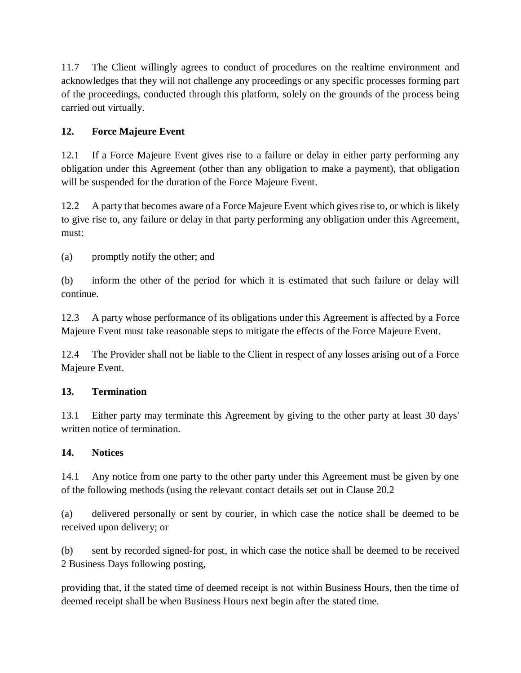11.7 The Client willingly agrees to conduct of procedures on the realtime environment and acknowledges that they will not challenge any proceedings or any specific processes forming part of the proceedings, conducted through this platform, solely on the grounds of the process being carried out virtually.

# **12. Force Majeure Event**

12.1 If a Force Majeure Event gives rise to a failure or delay in either party performing any obligation under this Agreement (other than any obligation to make a payment), that obligation will be suspended for the duration of the Force Majeure Event.

12.2 A party that becomes aware of a Force Majeure Event which gives rise to, or which is likely to give rise to, any failure or delay in that party performing any obligation under this Agreement, must:

(a) promptly notify the other; and

(b) inform the other of the period for which it is estimated that such failure or delay will continue.

12.3 A party whose performance of its obligations under this Agreement is affected by a Force Majeure Event must take reasonable steps to mitigate the effects of the Force Majeure Event.

12.4 The Provider shall not be liable to the Client in respect of any losses arising out of a Force Majeure Event.

# **13. Termination**

13.1 Either party may terminate this Agreement by giving to the other party at least 30 days' written notice of termination.

# **14. Notices**

14.1 Any notice from one party to the other party under this Agreement must be given by one of the following methods (using the relevant contact details set out in Clause 20.2

(a) delivered personally or sent by courier, in which case the notice shall be deemed to be received upon delivery; or

(b) sent by recorded signed-for post, in which case the notice shall be deemed to be received 2 Business Days following posting,

providing that, if the stated time of deemed receipt is not within Business Hours, then the time of deemed receipt shall be when Business Hours next begin after the stated time.